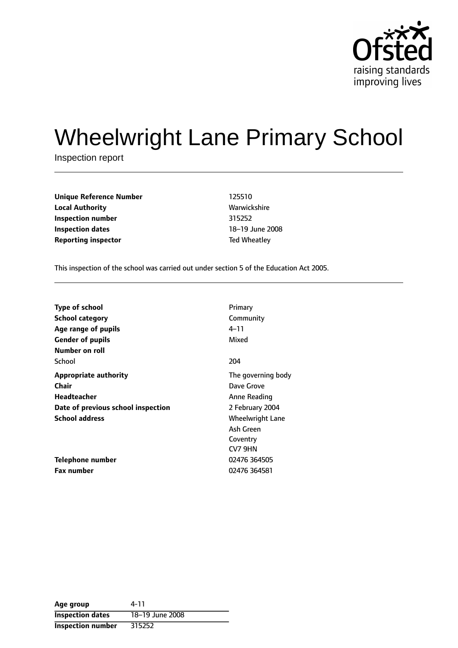

# Wheelwright Lane Primary School

Inspection report

**Unique Reference Number** 125510 **Local Authority Mathority** Warwickshire **Inspection number** 315252 **Inspection dates** 18-19 June 2008 **Reporting inspector** Ted Wheatley

This inspection of the school was carried out under section 5 of the Education Act 2005.

| <b>Type of school</b>              | Primary                 |
|------------------------------------|-------------------------|
| <b>School category</b>             | Community               |
| Age range of pupils                | 4–11                    |
| <b>Gender of pupils</b>            | Mixed                   |
| Number on roll                     |                         |
| School                             | 204                     |
| <b>Appropriate authority</b>       | The governing body      |
| Chair                              | Dave Grove              |
| Headteacher                        | Anne Reading            |
| Date of previous school inspection | 2 February 2004         |
| <b>School address</b>              | <b>Wheelwright Lane</b> |
|                                    | Ash Green               |
|                                    | Coventry                |
|                                    | CV7 9HN                 |
| Telephone number                   | 02476 364505            |
| <b>Fax number</b>                  | 02476 364581            |

| Age group                | 4-11            |
|--------------------------|-----------------|
| <b>Inspection dates</b>  | 18-19 June 2008 |
| <b>Inspection number</b> | 315252          |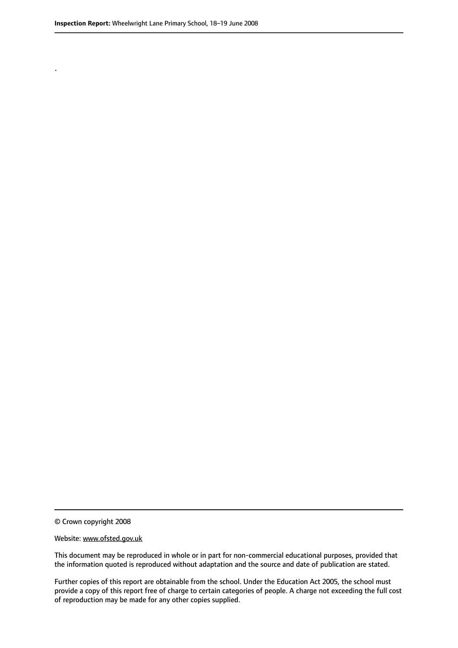.

© Crown copyright 2008

#### Website: www.ofsted.gov.uk

This document may be reproduced in whole or in part for non-commercial educational purposes, provided that the information quoted is reproduced without adaptation and the source and date of publication are stated.

Further copies of this report are obtainable from the school. Under the Education Act 2005, the school must provide a copy of this report free of charge to certain categories of people. A charge not exceeding the full cost of reproduction may be made for any other copies supplied.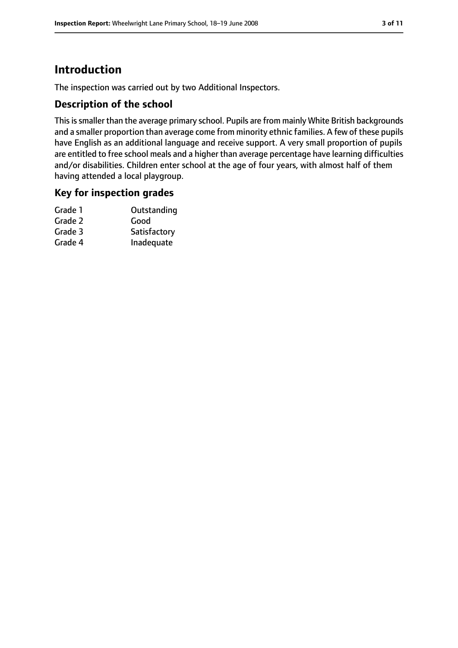# **Introduction**

The inspection was carried out by two Additional Inspectors.

## **Description of the school**

This is smaller than the average primary school. Pupils are from mainly White British backgrounds and a smaller proportion than average come from minority ethnic families. A few of these pupils have English as an additional language and receive support. A very small proportion of pupils are entitled to free school meals and a higher than average percentage have learning difficulties and/or disabilities. Children enter school at the age of four years, with almost half of them having attended a local playgroup.

#### **Key for inspection grades**

| Grade 1 | Outstanding  |
|---------|--------------|
| Grade 2 | Good         |
| Grade 3 | Satisfactory |
| Grade 4 | Inadequate   |
|         |              |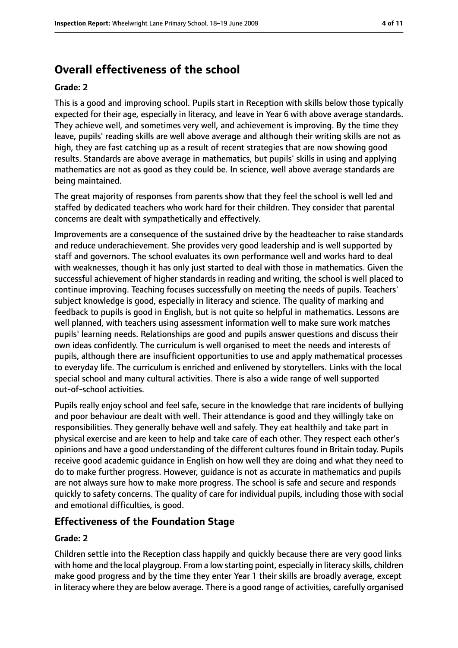# **Overall effectiveness of the school**

#### **Grade: 2**

This is a good and improving school. Pupils start in Reception with skills below those typically expected for their age, especially in literacy, and leave in Year 6 with above average standards. They achieve well, and sometimes very well, and achievement is improving. By the time they leave, pupils' reading skills are well above average and although their writing skills are not as high, they are fast catching up as a result of recent strategies that are now showing good results. Standards are above average in mathematics, but pupils' skills in using and applying mathematics are not as good as they could be. In science, well above average standards are being maintained.

The great majority of responses from parents show that they feel the school is well led and staffed by dedicated teachers who work hard for their children. They consider that parental concerns are dealt with sympathetically and effectively.

Improvements are a consequence of the sustained drive by the headteacher to raise standards and reduce underachievement. She provides very good leadership and is well supported by staff and governors. The school evaluates its own performance well and works hard to deal with weaknesses, though it has only just started to deal with those in mathematics. Given the successful achievement of higher standards in reading and writing, the school is well placed to continue improving. Teaching focuses successfully on meeting the needs of pupils. Teachers' subject knowledge is good, especially in literacy and science. The quality of marking and feedback to pupils is good in English, but is not quite so helpful in mathematics. Lessons are well planned, with teachers using assessment information well to make sure work matches pupils' learning needs. Relationships are good and pupils answer questions and discuss their own ideas confidently. The curriculum is well organised to meet the needs and interests of pupils, although there are insufficient opportunities to use and apply mathematical processes to everyday life. The curriculum is enriched and enlivened by storytellers. Links with the local special school and many cultural activities. There is also a wide range of well supported out-of-school activities.

Pupils really enjoy school and feel safe, secure in the knowledge that rare incidents of bullying and poor behaviour are dealt with well. Their attendance is good and they willingly take on responsibilities. They generally behave well and safely. They eat healthily and take part in physical exercise and are keen to help and take care of each other. They respect each other's opinions and have a good understanding of the different cultures found in Britain today. Pupils receive good academic guidance in English on how well they are doing and what they need to do to make further progress. However, guidance is not as accurate in mathematics and pupils are not always sure how to make more progress. The school is safe and secure and responds quickly to safety concerns. The quality of care for individual pupils, including those with social and emotional difficulties, is good.

#### **Effectiveness of the Foundation Stage**

#### **Grade: 2**

Children settle into the Reception class happily and quickly because there are very good links with home and the local playgroup. From a low starting point, especially in literacy skills, children make good progress and by the time they enter Year 1 their skills are broadly average, except in literacy where they are below average. There is a good range of activities, carefully organised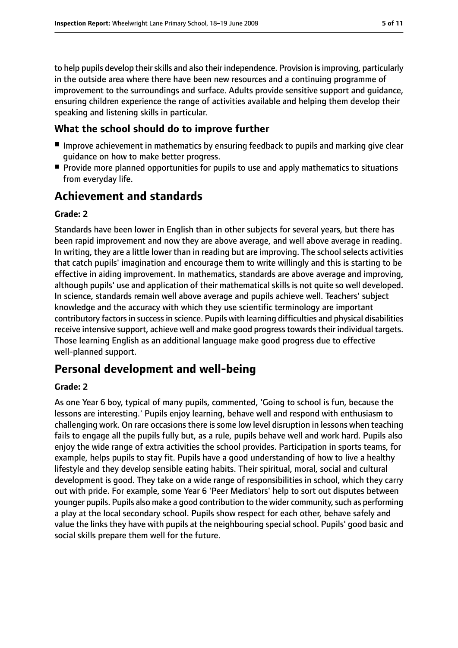to help pupils develop their skills and also their independence. Provision is improving, particularly in the outside area where there have been new resources and a continuing programme of improvement to the surroundings and surface. Adults provide sensitive support and guidance, ensuring children experience the range of activities available and helping them develop their speaking and listening skills in particular.

#### **What the school should do to improve further**

- Improve achievement in mathematics by ensuring feedback to pupils and marking give clear guidance on how to make better progress.
- Provide more planned opportunities for pupils to use and apply mathematics to situations from everyday life.

# **Achievement and standards**

#### **Grade: 2**

Standards have been lower in English than in other subjects for several years, but there has been rapid improvement and now they are above average, and well above average in reading. In writing, they are a little lower than in reading but are improving. The school selects activities that catch pupils' imagination and encourage them to write willingly and this is starting to be effective in aiding improvement. In mathematics, standards are above average and improving, although pupils' use and application of their mathematical skills is not quite so well developed. In science, standards remain well above average and pupils achieve well. Teachers' subject knowledge and the accuracy with which they use scientific terminology are important contributory factors in success in science. Pupils with learning difficulties and physical disabilities receive intensive support, achieve well and make good progress towards their individual targets. Those learning English as an additional language make good progress due to effective well-planned support.

# **Personal development and well-being**

#### **Grade: 2**

As one Year 6 boy, typical of many pupils, commented, 'Going to school is fun, because the lessons are interesting.' Pupils enjoy learning, behave well and respond with enthusiasm to challenging work. On rare occasions there is some low level disruption in lessons when teaching fails to engage all the pupils fully but, as a rule, pupils behave well and work hard. Pupils also enjoy the wide range of extra activities the school provides. Participation in sports teams, for example, helps pupils to stay fit. Pupils have a good understanding of how to live a healthy lifestyle and they develop sensible eating habits. Their spiritual, moral, social and cultural development is good. They take on a wide range of responsibilities in school, which they carry out with pride. For example, some Year 6 'Peer Mediators' help to sort out disputes between younger pupils. Pupils also make a good contribution to the wider community, such as performing a play at the local secondary school. Pupils show respect for each other, behave safely and value the links they have with pupils at the neighbouring special school. Pupils' good basic and social skills prepare them well for the future.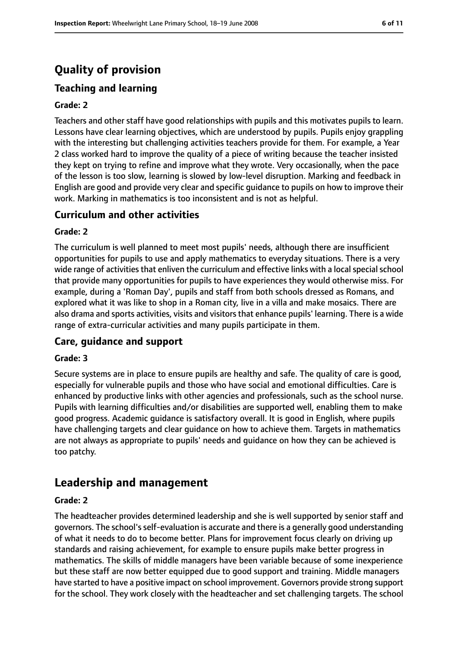# **Quality of provision**

## **Teaching and learning**

#### **Grade: 2**

Teachers and other staff have good relationships with pupils and this motivates pupils to learn. Lessons have clear learning objectives, which are understood by pupils. Pupils enjoy grappling with the interesting but challenging activities teachers provide for them. For example, a Year 2 class worked hard to improve the quality of a piece of writing because the teacher insisted they kept on trying to refine and improve what they wrote. Very occasionally, when the pace of the lesson is too slow, learning is slowed by low-level disruption. Marking and feedback in English are good and provide very clear and specific guidance to pupils on how to improve their work. Marking in mathematics is too inconsistent and is not as helpful.

#### **Curriculum and other activities**

#### **Grade: 2**

The curriculum is well planned to meet most pupils' needs, although there are insufficient opportunities for pupils to use and apply mathematics to everyday situations. There is a very wide range of activities that enliven the curriculum and effective links with a local special school that provide many opportunities for pupils to have experiences they would otherwise miss. For example, during a 'Roman Day', pupils and staff from both schools dressed as Romans, and explored what it was like to shop in a Roman city, live in a villa and make mosaics. There are also drama and sports activities, visits and visitors that enhance pupils' learning. There is a wide range of extra-curricular activities and many pupils participate in them.

#### **Care, guidance and support**

#### **Grade: 3**

Secure systems are in place to ensure pupils are healthy and safe. The quality of care is good, especially for vulnerable pupils and those who have social and emotional difficulties. Care is enhanced by productive links with other agencies and professionals, such as the school nurse. Pupils with learning difficulties and/or disabilities are supported well, enabling them to make good progress. Academic guidance is satisfactory overall. It is good in English, where pupils have challenging targets and clear guidance on how to achieve them. Targets in mathematics are not always as appropriate to pupils' needs and guidance on how they can be achieved is too patchy.

# **Leadership and management**

#### **Grade: 2**

The headteacher provides determined leadership and she is well supported by senior staff and governors. The school's self-evaluation is accurate and there is a generally good understanding of what it needs to do to become better. Plans for improvement focus clearly on driving up standards and raising achievement, for example to ensure pupils make better progress in mathematics. The skills of middle managers have been variable because of some inexperience but these staff are now better equipped due to good support and training. Middle managers have started to have a positive impact on school improvement. Governors provide strong support for the school. They work closely with the headteacher and set challenging targets. The school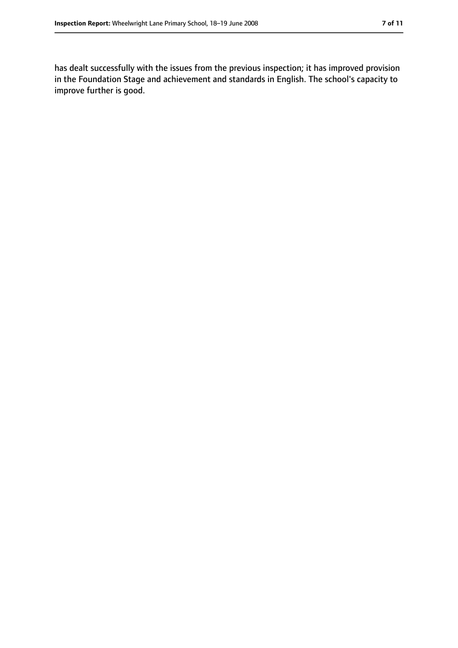has dealt successfully with the issues from the previous inspection; it has improved provision in the Foundation Stage and achievement and standards in English. The school's capacity to improve further is good.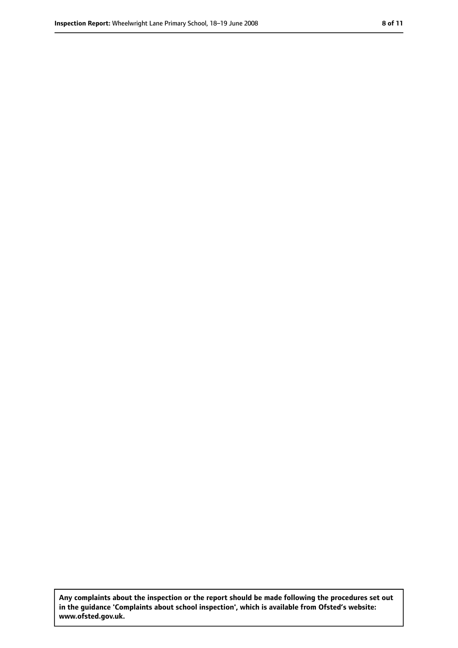**Any complaints about the inspection or the report should be made following the procedures set out in the guidance 'Complaints about school inspection', which is available from Ofsted's website: www.ofsted.gov.uk.**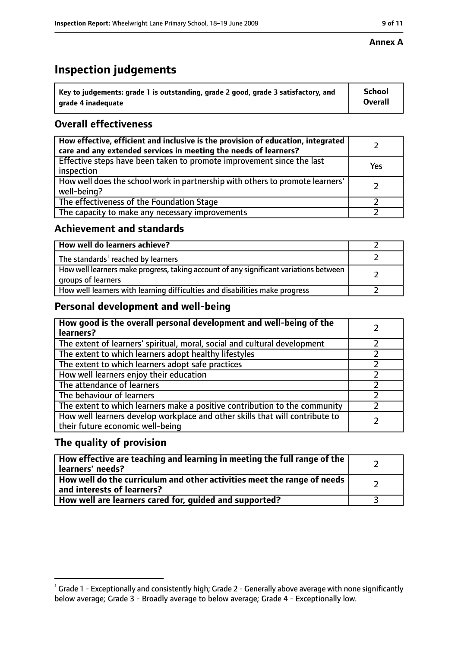# **Inspection judgements**

| $^{\backprime}$ Key to judgements: grade 1 is outstanding, grade 2 good, grade 3 satisfactory, and | School         |
|----------------------------------------------------------------------------------------------------|----------------|
| arade 4 inadeguate                                                                                 | <b>Overall</b> |

## **Overall effectiveness**

| How effective, efficient and inclusive is the provision of education, integrated<br>care and any extended services in meeting the needs of learners? |     |
|------------------------------------------------------------------------------------------------------------------------------------------------------|-----|
| Effective steps have been taken to promote improvement since the last<br>inspection                                                                  | Yes |
| How well does the school work in partnership with others to promote learners'<br>well-being?                                                         |     |
| The effectiveness of the Foundation Stage                                                                                                            |     |
| The capacity to make any necessary improvements                                                                                                      |     |

## **Achievement and standards**

| How well do learners achieve?                                                                               |  |
|-------------------------------------------------------------------------------------------------------------|--|
| The standards <sup>1</sup> reached by learners                                                              |  |
| How well learners make progress, taking account of any significant variations between<br>groups of learners |  |
| How well learners with learning difficulties and disabilities make progress                                 |  |

## **Personal development and well-being**

| How good is the overall personal development and well-being of the<br>learners?                                  |  |
|------------------------------------------------------------------------------------------------------------------|--|
| The extent of learners' spiritual, moral, social and cultural development                                        |  |
| The extent to which learners adopt healthy lifestyles                                                            |  |
| The extent to which learners adopt safe practices                                                                |  |
| How well learners enjoy their education                                                                          |  |
| The attendance of learners                                                                                       |  |
| The behaviour of learners                                                                                        |  |
| The extent to which learners make a positive contribution to the community                                       |  |
| How well learners develop workplace and other skills that will contribute to<br>their future economic well-being |  |

## **The quality of provision**

| How effective are teaching and learning in meeting the full range of the<br>learners' needs?          |  |
|-------------------------------------------------------------------------------------------------------|--|
| How well do the curriculum and other activities meet the range of needs<br>and interests of learners? |  |
| How well are learners cared for, guided and supported?                                                |  |

 $^1$  Grade 1 - Exceptionally and consistently high; Grade 2 - Generally above average with none significantly below average; Grade 3 - Broadly average to below average; Grade 4 - Exceptionally low.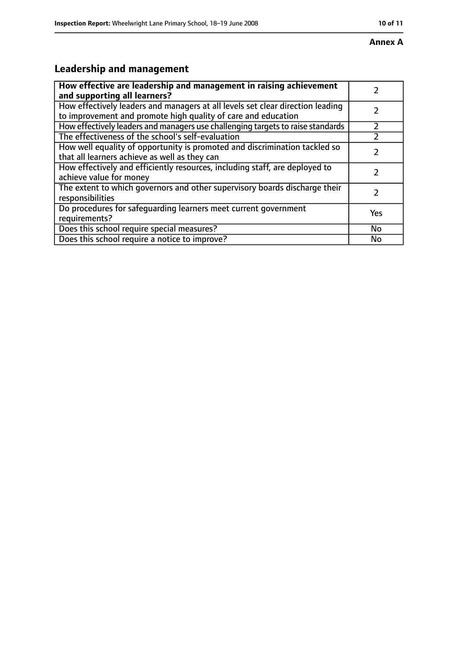# **Leadership and management**

| How effective are leadership and management in raising achievement<br>and supporting all learners?                                              |     |
|-------------------------------------------------------------------------------------------------------------------------------------------------|-----|
| How effectively leaders and managers at all levels set clear direction leading<br>to improvement and promote high quality of care and education |     |
| How effectively leaders and managers use challenging targets to raise standards                                                                 |     |
| The effectiveness of the school's self-evaluation                                                                                               |     |
| How well equality of opportunity is promoted and discrimination tackled so<br>that all learners achieve as well as they can                     |     |
| How effectively and efficiently resources, including staff, are deployed to<br>achieve value for money                                          |     |
| The extent to which governors and other supervisory boards discharge their<br>responsibilities                                                  |     |
| Do procedures for safequarding learners meet current government<br>requirements?                                                                | Yes |
| Does this school require special measures?                                                                                                      | No  |
| Does this school require a notice to improve?                                                                                                   | No  |